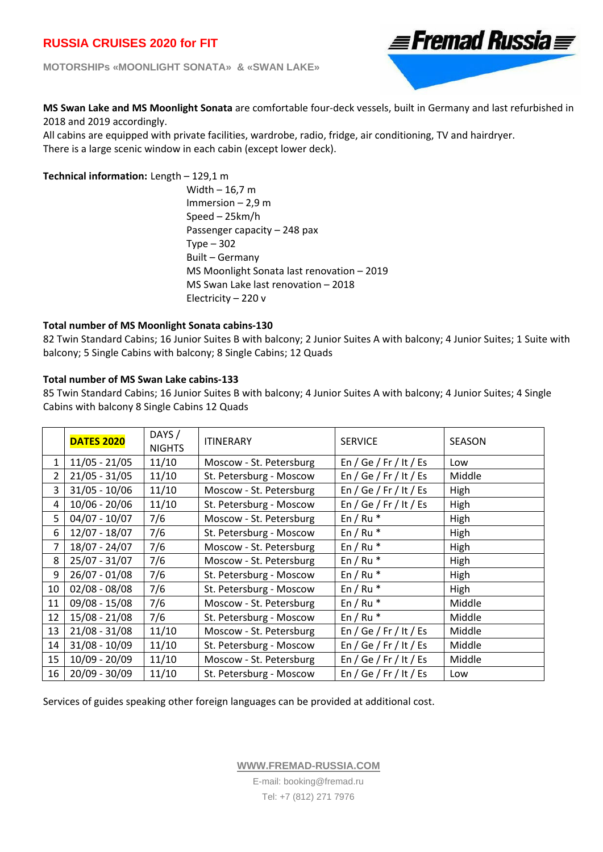**MOTORSHIPs «MOONLIGHT SONATA» & «SWAN LAKE»** 



**MS Swan Lake and MS Moonlight Sonata** are comfortable four‐deck vessels, built in Germany and last refurbished in 2018 and 2019 accordingly.

All cabins are equipped with private facilities, wardrobe, radio, fridge, air conditioning, TV and hairdryer. There is a large scenic window in each cabin (except lower deck).

### **Technical information:** Length - 129,1 m

Width – 16,7 m Immersion – 2,9 m Speed – 25km/h Passenger capacity – 248 pax Type – 302 Built – Germany MS Moonlight Sonata last renovation – 2019 MS Swan Lake last renovation – 2018 Electricity – 220 v

### **Total number of MS Moonlight Sonata cabins‐130**

82 Twin Standard Cabins; 16 Junior Suites B with balcony; 2 Junior Suites A with balcony; 4 Junior Suites; 1 Suite with balcony; 5 Single Cabins with balcony; 8 Single Cabins; 12 Quads

### **Total number of MS Swan Lake cabins‐133**

85 Twin Standard Cabins; 16 Junior Suites B with balcony; 4 Junior Suites A with balcony; 4 Junior Suites; 4 Single Cabins with balcony 8 Single Cabins 12 Quads

|              | <b>DATES 2020</b> | DAYS /<br><b>NIGHTS</b> | <b>ITINERARY</b>        | <b>SERVICE</b>         | <b>SEASON</b> |
|--------------|-------------------|-------------------------|-------------------------|------------------------|---------------|
| $\mathbf{1}$ | $11/05 - 21/05$   | 11/10                   | Moscow - St. Petersburg | En / Ge / Fr / It / Es | Low           |
| 2            | $21/05 - 31/05$   | 11/10                   | St. Petersburg - Moscow | En / Ge / Fr / It / Es | Middle        |
| 3            | $31/05 - 10/06$   | 11/10                   | Moscow - St. Petersburg | En / Ge / Fr / It / Es | High          |
| 4            | $10/06 - 20/06$   | 11/10                   | St. Petersburg - Moscow | En / Ge / Fr / It / Es | High          |
| 5            | $04/07 - 10/07$   | 7/6                     | Moscow - St. Petersburg | En / Ru $*$            | High          |
| 6            | $12/07 - 18/07$   | 7/6                     | St. Petersburg - Moscow | En / Ru $*$            | High          |
| 7            | $18/07 - 24/07$   | 7/6                     | Moscow - St. Petersburg | En / Ru $*$            | High          |
| 8            | $25/07 - 31/07$   | 7/6                     | Moscow - St. Petersburg | En / Ru $*$            | High          |
| 9            | $26/07 - 01/08$   | 7/6                     | St. Petersburg - Moscow | En / Ru $*$            | High          |
| 10           | $02/08 - 08/08$   | 7/6                     | St. Petersburg - Moscow | En / Ru $*$            | High          |
| 11           | $09/08 - 15/08$   | 7/6                     | Moscow - St. Petersburg | En / Ru $*$            | Middle        |
| 12           | $15/08 - 21/08$   | 7/6                     | St. Petersburg - Moscow | En / Ru $*$            | Middle        |
| 13           | $21/08 - 31/08$   | 11/10                   | Moscow - St. Petersburg | En / Ge / Fr / It / Es | Middle        |
| 14           | $31/08 - 10/09$   | 11/10                   | St. Petersburg - Moscow | En / Ge / Fr / It / Es | Middle        |
| 15           | $10/09 - 20/09$   | 11/10                   | Moscow - St. Petersburg | En / Ge / Fr / It / Es | Middle        |
| 16           | $20/09 - 30/09$   | 11/10                   | St. Petersburg - Moscow | En / Ge / Fr / It / Es | Low           |

Services of guides speaking other foreign languages can be provided at additional cost.

**WWW.FREMAD-RUSSIA.COM**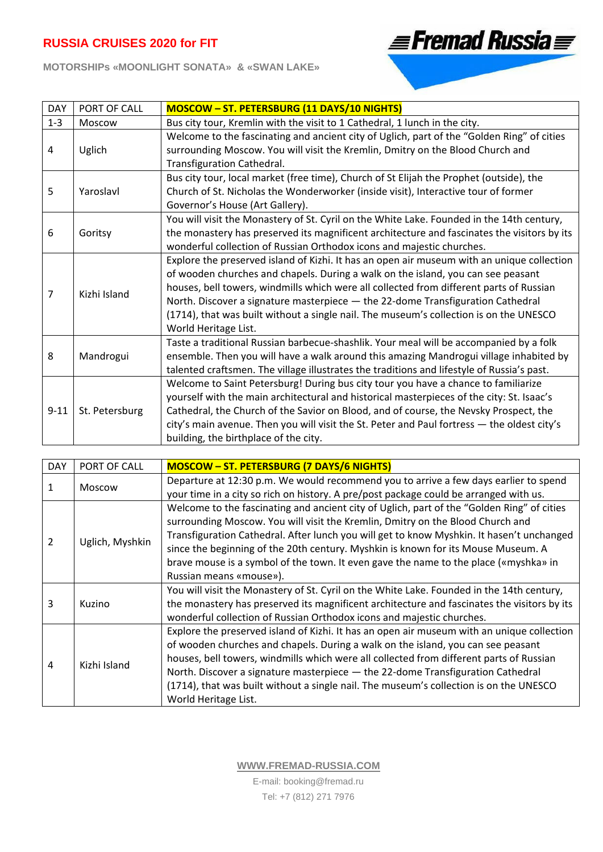**MOTORSHIPs «MOONLIGHT SONATA» & «SWAN LAKE»** 



| <b>DAY</b> | PORT OF CALL   | <b>MOSCOW - ST. PETERSBURG (11 DAYS/10 NIGHTS)</b>                                                                                                                                                                                                                                                                                                                                                                                                                             |
|------------|----------------|--------------------------------------------------------------------------------------------------------------------------------------------------------------------------------------------------------------------------------------------------------------------------------------------------------------------------------------------------------------------------------------------------------------------------------------------------------------------------------|
| $1 - 3$    | Moscow         | Bus city tour, Kremlin with the visit to 1 Cathedral, 1 lunch in the city.                                                                                                                                                                                                                                                                                                                                                                                                     |
| 4          | Uglich         | Welcome to the fascinating and ancient city of Uglich, part of the "Golden Ring" of cities<br>surrounding Moscow. You will visit the Kremlin, Dmitry on the Blood Church and<br>Transfiguration Cathedral.                                                                                                                                                                                                                                                                     |
| 5          | Yaroslavl      | Bus city tour, local market (free time), Church of St Elijah the Prophet (outside), the<br>Church of St. Nicholas the Wonderworker (inside visit), Interactive tour of former<br>Governor's House (Art Gallery).                                                                                                                                                                                                                                                               |
| 6          | Goritsy        | You will visit the Monastery of St. Cyril on the White Lake. Founded in the 14th century,<br>the monastery has preserved its magnificent architecture and fascinates the visitors by its<br>wonderful collection of Russian Orthodox icons and majestic churches.                                                                                                                                                                                                              |
| 7          | Kizhi Island   | Explore the preserved island of Kizhi. It has an open air museum with an unique collection<br>of wooden churches and chapels. During a walk on the island, you can see peasant<br>houses, bell towers, windmills which were all collected from different parts of Russian<br>North. Discover a signature masterpiece - the 22-dome Transfiguration Cathedral<br>(1714), that was built without a single nail. The museum's collection is on the UNESCO<br>World Heritage List. |
| 8          | Mandrogui      | Taste a traditional Russian barbecue-shashlik. Your meal will be accompanied by a folk<br>ensemble. Then you will have a walk around this amazing Mandrogui village inhabited by<br>talented craftsmen. The village illustrates the traditions and lifestyle of Russia's past.                                                                                                                                                                                                 |
| $9 - 11$   | St. Petersburg | Welcome to Saint Petersburg! During bus city tour you have a chance to familiarize<br>yourself with the main architectural and historical masterpieces of the city: St. Isaac's<br>Cathedral, the Church of the Savior on Blood, and of course, the Nevsky Prospect, the<br>city's main avenue. Then you will visit the St. Peter and Paul fortress - the oldest city's<br>building, the birthplace of the city.                                                               |

| <b>DAY</b> | PORT OF CALL    | <b>MOSCOW - ST. PETERSBURG (7 DAYS/6 NIGHTS)</b>                                            |  |  |  |
|------------|-----------------|---------------------------------------------------------------------------------------------|--|--|--|
|            | Moscow          | Departure at 12:30 p.m. We would recommend you to arrive a few days earlier to spend        |  |  |  |
|            |                 | your time in a city so rich on history. A pre/post package could be arranged with us.       |  |  |  |
| 2          | Uglich, Myshkin | Welcome to the fascinating and ancient city of Uglich, part of the "Golden Ring" of cities  |  |  |  |
|            |                 | surrounding Moscow. You will visit the Kremlin, Dmitry on the Blood Church and              |  |  |  |
|            |                 | Transfiguration Cathedral. After lunch you will get to know Myshkin. It hasen't unchanged   |  |  |  |
|            |                 | since the beginning of the 20th century. Myshkin is known for its Mouse Museum. A           |  |  |  |
|            |                 | brave mouse is a symbol of the town. It even gave the name to the place («myshka» in        |  |  |  |
|            |                 | Russian means «mouse»).                                                                     |  |  |  |
| 3          | Kuzino          | You will visit the Monastery of St. Cyril on the White Lake. Founded in the 14th century,   |  |  |  |
|            |                 | the monastery has preserved its magnificent architecture and fascinates the visitors by its |  |  |  |
|            |                 | wonderful collection of Russian Orthodox icons and majestic churches.                       |  |  |  |
|            | Kizhi Island    | Explore the preserved island of Kizhi. It has an open air museum with an unique collection  |  |  |  |
|            |                 | of wooden churches and chapels. During a walk on the island, you can see peasant            |  |  |  |
| 4          |                 | houses, bell towers, windmills which were all collected from different parts of Russian     |  |  |  |
|            |                 | North. Discover a signature masterpiece - the 22-dome Transfiguration Cathedral             |  |  |  |
|            |                 | (1714), that was built without a single nail. The museum's collection is on the UNESCO      |  |  |  |
|            |                 | World Heritage List.                                                                        |  |  |  |

**WWW.FREMAD-RUSSIA.COM**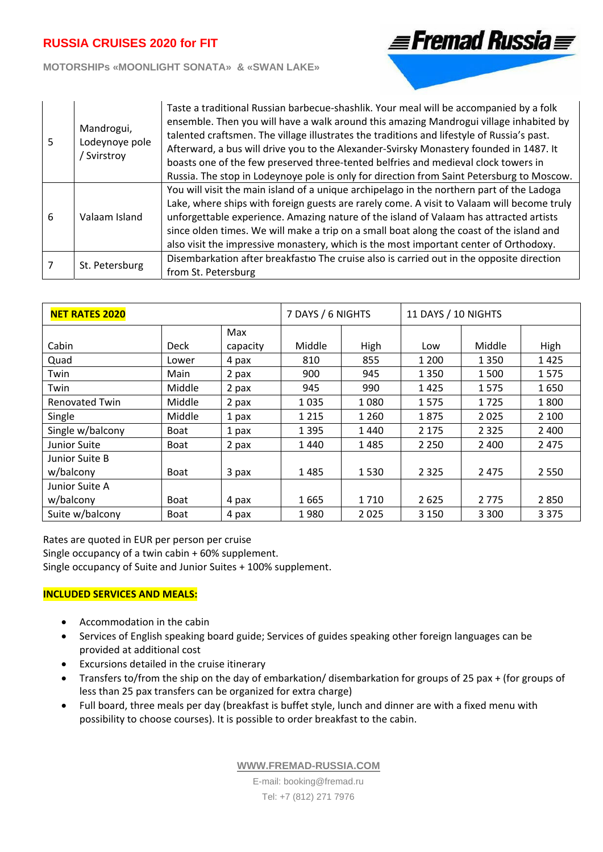### **MOTORSHIPs «MOONLIGHT SONATA» & «SWAN LAKE»**

| 5 | Mandrogui,<br>Lodeynoye pole<br>/ Svirstroy | Taste a traditional Russian barbecue-shashlik. Your meal will be accompanied by a folk<br>ensemble. Then you will have a walk around this amazing Mandrogui village inhabited by<br>talented craftsmen. The village illustrates the traditions and lifestyle of Russia's past.<br>Afterward, a bus will drive you to the Alexander-Svirsky Monastery founded in 1487. It<br>boasts one of the few preserved three-tented belfries and medieval clock towers in<br>Russia. The stop in Lodeynoye pole is only for direction from Saint Petersburg to Moscow. |
|---|---------------------------------------------|-------------------------------------------------------------------------------------------------------------------------------------------------------------------------------------------------------------------------------------------------------------------------------------------------------------------------------------------------------------------------------------------------------------------------------------------------------------------------------------------------------------------------------------------------------------|
| 6 | Valaam Island                               | You will visit the main island of a unique archipelago in the northern part of the Ladoga<br>Lake, where ships with foreign guests are rarely come. A visit to Valaam will become truly<br>unforgettable experience. Amazing nature of the island of Valaam has attracted artists<br>since olden times. We will make a trip on a small boat along the coast of the island and<br>also visit the impressive monastery, which is the most important center of Orthodoxy.                                                                                      |
|   | St. Petersburg                              | Disembarkation after breakfastio The cruise also is carried out in the opposite direction<br>from St. Petersburg                                                                                                                                                                                                                                                                                                                                                                                                                                            |

**≣Fremad Russia** 

| <b>NET RATES 2020</b>       |             |          | 7 DAYS / 6 NIGHTS |         | 11 DAYS / 10 NIGHTS |         |         |
|-----------------------------|-------------|----------|-------------------|---------|---------------------|---------|---------|
|                             |             | Max      |                   |         |                     |         |         |
| Cabin                       | <b>Deck</b> | capacity | Middle            | High    | Low                 | Middle  | High    |
| Quad                        | Lower       | 4 pax    | 810               | 855     | 1 200               | 1 3 5 0 | 1425    |
| Twin                        | Main        | 2 pax    | 900               | 945     | 1 3 5 0             | 1500    | 1575    |
| Twin                        | Middle      | 2 pax    | 945               | 990     | 1425                | 1575    | 1650    |
| <b>Renovated Twin</b>       | Middle      | 2 pax    | 1035              | 1080    | 1575                | 1725    | 1800    |
| Single                      | Middle      | 1 pax    | 1 2 1 5           | 1 2 6 0 | 1875                | 2025    | 2 1 0 0 |
| Single w/balcony            | <b>Boat</b> | 1 pax    | 1 3 9 5           | 1440    | 2 1 7 5             | 2 3 2 5 | 2 4 0 0 |
| Junior Suite                | <b>Boat</b> | 2 pax    | 1440              | 1485    | 2 2 5 0             | 2 4 0 0 | 2 4 7 5 |
| Junior Suite B<br>w/balcony | <b>Boat</b> | 3 pax    | 1485              | 1530    | 2 3 2 5             | 2 4 7 5 | 2 5 5 0 |
| Junior Suite A              |             |          |                   |         |                     |         |         |
| w/balcony                   | <b>Boat</b> | 4 pax    | 1665              | 1710    | 2625                | 2 7 7 5 | 2850    |
| Suite w/balcony             | <b>Boat</b> | 4 pax    | 1980              | 2025    | 3 1 5 0             | 3 3 0 0 | 3 3 7 5 |

Rates are quoted in EUR per person per cruise Single occupancy of a twin cabin + 60% supplement.

Single occupancy of Suite and Junior Suites + 100% supplement.

### **INCLUDED SERVICES AND MEALS:**

- Accommodation in the cabin
- Services of English speaking board guide; Services of guides speaking other foreign languages can be provided at additional cost
- Excursions detailed in the cruise itinerary
- Transfers to/from the ship on the day of embarkation/ disembarkation for groups of 25 pax + (for groups of less than 25 pax transfers can be organized for extra charge)
- Full board, three meals per day (breakfast is buffet style, lunch and dinner are with a fixed menu with possibility to choose courses). It is possible to order breakfast to the cabin.

**WWW.FREMAD-RUSSIA.COM**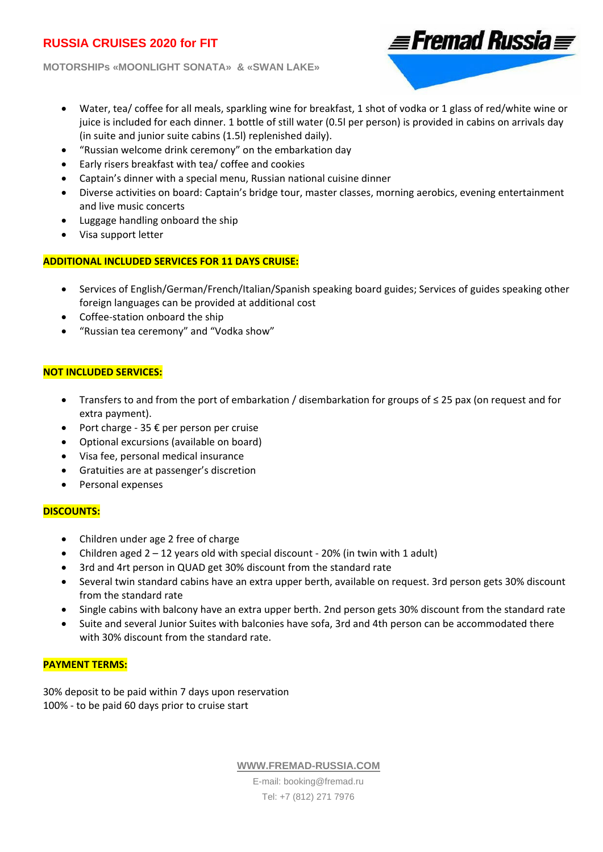**MOTORSHIPs «MOONLIGHT SONATA» & «SWAN LAKE»** 



- Water, tea/ coffee for all meals, sparkling wine for breakfast, 1 shot of vodka or 1 glass of red/white wine or juice is included for each dinner. 1 bottle of still water (0.5l per person) is provided in cabins on arrivals day (in suite and junior suite cabins (1.5l) replenished daily).
- "Russian welcome drink ceremony" on the embarkation day
- Early risers breakfast with tea/ coffee and cookies
- Captain's dinner with a special menu, Russian national cuisine dinner
- Diverse activities on board: Captain's bridge tour, master classes, morning aerobics, evening entertainment and live music concerts
- Luggage handling onboard the ship
- Visa support letter

## **ADDITIONAL INCLUDED SERVICES FOR 11 DAYS CRUISE:**

- Services of English/German/French/Italian/Spanish speaking board guides; Services of guides speaking other foreign languages can be provided at additional cost
- Сoffee‐station onboard the ship
- "Russian tea ceremony" and "Vodka show"

## **NOT INCLUDED SERVICES:**

- Transfers to and from the port of embarkation / disembarkation for groups of ≤ 25 pax (on request and for extra payment).
- Port charge ‐ 35 € per person per cruise
- Optional excursions (available on board)
- Visa fee, personal medical insurance
- Gratuities are at passenger's discretion
- Personal expenses

### **DISCOUNTS:**

- Children under age 2 free of charge
- Children aged  $2 12$  years old with special discount 20% (in twin with 1 adult)
- 3rd and 4rt person in QUAD get 30% discount from the standard rate
- Several twin standard cabins have an extra upper berth, available on request. 3rd person gets 30% discount from the standard rate
- Single cabins with balcony have an extra upper berth. 2nd person gets 30% discount from the standard rate
- Suite and several Junior Suites with balconies have sofa, 3rd and 4th person can be accommodated there with 30% discount from the standard rate.

### **PAYMENT TERMS:**

30% deposit to be paid within 7 days upon reservation 100% ‐ to be paid 60 days prior to cruise start

**WWW.FREMAD-RUSSIA.COM**